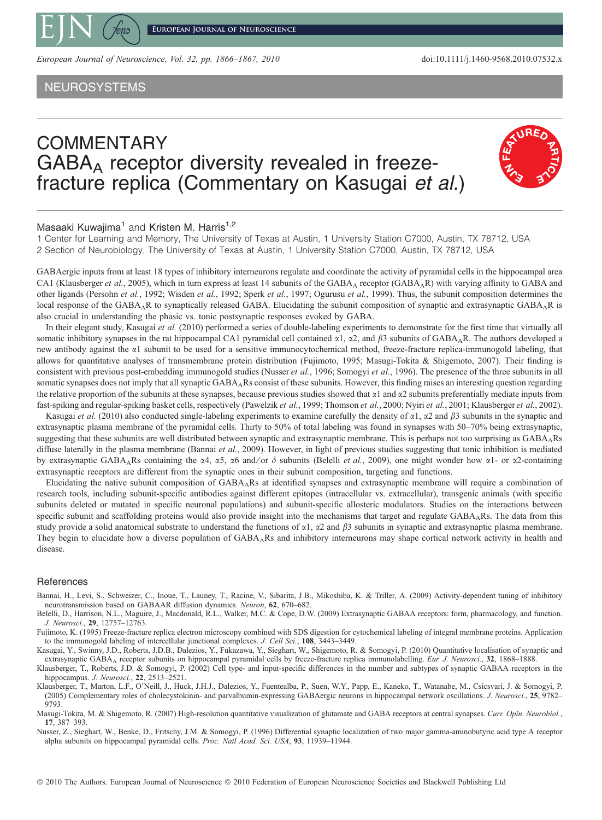

European Journal of Neuroscience, Vol. 32, pp. 1866–1867, 2010 doi:10.1111/j.1460-9568.2010.07532.x

NEUROSYSTEMS

## COMMENTARY  $GABA_A$  receptor diversity revealed in freezefracture replica (Commentary on Kasugai et al.)

## **URE**

## Masaaki Kuwaiima<sup>1</sup> and Kristen M. Harris<sup>1,2</sup>

1 Center for Learning and Memory, The University of Texas at Austin, 1 University Station C7000, Austin, TX 78712, USA 2 Section of Neurobiology, The University of Texas at Austin, 1 University Station C7000, Austin, TX 78712, USA

GABAergic inputs from at least 18 types of inhibitory interneurons regulate and coordinate the activity of pyramidal cells in the hippocampal area CA1 (Klausberger et al., 2005), which in turn express at least 14 subunits of the GABA<sub>A</sub> receptor (GABA<sub>A</sub>R) with varying affinity to GABA and other ligands (Persohn et al., 1992; Wisden et al., 1992; Sperk et al., 1997; Ogurusu et al., 1999). Thus, the subunit composition determines the local response of the GABAAR to synaptically released GABA. Elucidating the subunit composition of synaptic and extrasynaptic GABAAR is also crucial in understanding the phasic vs. tonic postsynaptic responses evoked by GABA.

In their elegant study, Kasugai et al. (2010) performed a series of double-labeling experiments to demonstrate for the first time that virtually all somatic inhibitory synapses in the rat hippocampal CA1 pyramidal cell contained  $\alpha$ 1,  $\alpha$ 2, and  $\beta$ 3 subunits of GABA<sub>A</sub>R. The authors developed a new antibody against the  $\alpha$ 1 subunit to be used for a sensitive immunocytochemical method, freeze-fracture replica-immunogold labeling, that allows for quantitative analyses of transmembrane protein distribution (Fujimoto, 1995; Masugi-Tokita & Shigemoto, 2007). Their finding is consistent with previous post-embedding immunogold studies (Nusser et al., 1996; Somogyi et al., 1996). The presence of the three subunits in all somatic synapses does not imply that all synaptic  $GABA_ARs$  consist of these subunits. However, this finding raises an interesting question regarding the relative proportion of the subunits at these synapses, because previous studies showed that  $\alpha$ 1 and  $\alpha$ 2 subunits preferentially mediate inputs from fast-spiking and regular-spiking basket cells, respectively (Pawelzik et al., 1999; Thomson et al., 2000; Nyiri et al., 2001; Klausberger et al., 2002).

Kasugai et al. (2010) also conducted single-labeling experiments to examine carefully the density of  $\alpha$ 1,  $\alpha$ 2 and  $\beta$ 3 subunits in the synaptic and extrasynaptic plasma membrane of the pyramidal cells. Thirty to 50% of total labeling was found in synapses with 50–70% being extrasynaptic, suggesting that these subunits are well distributed between synaptic and extrasynaptic membrane. This is perhaps not too surprising as GABAARs diffuse laterally in the plasma membrane (Bannai et al., 2009). However, in light of previous studies suggesting that tonic inhibition is mediated by extrasynaptic GABA<sub>A</sub>Rs containing the  $\alpha$ 4,  $\alpha$ 5,  $\alpha$ 6 and/or  $\delta$  subunits (Belelli *et al.*, 2009), one might wonder how  $\alpha$ 1- or  $\alpha$ 2-containing extrasynaptic receptors are different from the synaptic ones in their subunit composition, targeting and functions.

Elucidating the native subunit composition of  $GABA_ARs$  at identified synapses and extrasynaptic membrane will require a combination of research tools, including subunit-specific antibodies against different epitopes (intracellular vs. extracellular), transgenic animals (with specific subunits deleted or mutated in specific neuronal populations) and subunit-specific allosteric modulators. Studies on the interactions between specific subunit and scaffolding proteins would also provide insight into the mechanisms that target and regulate GABA<sub>A</sub>Rs. The data from this study provide a solid anatomical substrate to understand the functions of  $\alpha$ 1,  $\alpha$ 2 and  $\beta$ 3 subunits in synaptic and extrasynaptic plasma membrane. They begin to elucidate how a diverse population of  $GABA_ARs$  and inhibitory interneurons may shape cortical network activity in health and disease.

## References

Bannai, H., Levi, S., Schweizer, C., Inoue, T., Launey, T., Racine, V., Sibarita, J.B., Mikoshiba, K. & Triller, A. (2009) Activity-dependent tuning of inhibitory neurotransmission based on GABAAR diffusion dynamics. Neuron, 62, 670–682.

Belelli, D., Harrison, N.L., Maguire, J., Macdonald, R.L., Walker, M.C. & Cope, D.W. (2009) Extrasynaptic GABAA receptors: form, pharmacology, and function. J. Neurosci., 29, 12757–12763.

Fujimoto, K. (1995) Freeze-fracture replica electron microscopy combined with SDS digestion for cytochemical labeling of integral membrane proteins. Application to the immunogold labeling of intercellular junctional complexes. J. Cell Sci., 108, 3443–3449.

Kasugai, Y., Swinny, J.D., Roberts, J.D.B., Dalezios, Y., Fukazawa, Y., Sieghart, W., Shigemoto, R. & Somogyi, P. (2010) Quantitative localisation of synaptic and extrasynaptic GABA<sub>A</sub> receptor subunits on hippocampal pyramidal cells by freeze-fracture replica immunolabelling. Eur. J. Neurosci., 32, 1868–1888.

Klausberger, T., Roberts, J.D. & Somogyi, P. (2002) Cell type- and input-specific differences in the number and subtypes of synaptic GABAA receptors in the hippocampus. J. Neurosci., 22, 2513-2521.

Klausberger, T., Marton, L.F., O'Neill, J., Huck, J.H.J., Dalezios, Y., Fuentealba, P., Suen, W.Y., Papp, E., Kaneko, T., Watanabe, M., Csicsvari, J. & Somogyi, P. (2005) Complementary roles of cholecystokinin- and parvalbumin-expressing GABAergic neurons in hippocampal network oscillations. J. Neurosci., 25, 9782– 9793.

Masugi-Tokita, M. & Shigemoto, R. (2007) High-resolution quantitative visualization of glutamate and GABA receptors at central synapses. Curr. Opin. Neurobiol., 17, 387–393.

Nusser, Z., Sieghart, W., Benke, D., Fritschy, J.M. & Somogyi, P. (1996) Differential synaptic localization of two major gamma-aminobutyric acid type A receptor alpha subunits on hippocampal pyramidal cells. Proc. Natl Acad. Sci. USA, 93, 11939–11944.